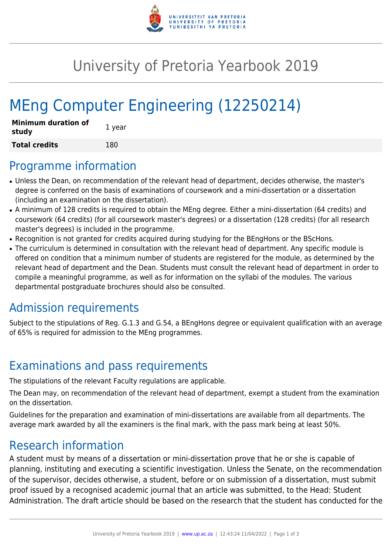

## University of Pretoria Yearbook 2019

# MEng Computer Engineering (12250214)

| <b>Minimum duration of</b><br>study | 1 year |
|-------------------------------------|--------|
| <b>Total credits</b>                | 180    |

#### Programme information

- Unless the Dean, on recommendation of the relevant head of department, decides otherwise, the master's degree is conferred on the basis of examinations of coursework and a mini-dissertation or a dissertation (including an examination on the dissertation).
- A minimum of 128 credits is required to obtain the MEng degree. Either a mini-dissertation (64 credits) and coursework (64 credits) (for all coursework master's degrees) or a dissertation (128 credits) (for all research master's degrees) is included in the programme.
- Recognition is not granted for credits acquired during studying for the BEngHons or the BScHons.
- The curriculum is determined in consultation with the relevant head of department. Any specific module is offered on condition that a minimum number of students are registered for the module, as determined by the relevant head of department and the Dean. Students must consult the relevant head of department in order to compile a meaningful programme, as well as for information on the syllabi of the modules. The various departmental postgraduate brochures should also be consulted.

#### Admission requirements

Subject to the stipulations of Reg. G.1.3 and G.54, a BEngHons degree or equivalent qualification with an average of 65% is required for admission to the MEng programmes.

#### Examinations and pass requirements

The stipulations of the relevant Faculty regulations are applicable.

The Dean may, on recommendation of the relevant head of department, exempt a student from the examination on the dissertation.

Guidelines for the preparation and examination of mini-dissertations are available from all departments. The average mark awarded by all the examiners is the final mark, with the pass mark being at least 50%.

#### Research information

A student must by means of a dissertation or mini-dissertation prove that he or she is capable of planning, instituting and executing a scientific investigation. Unless the Senate, on the recommendation of the supervisor, decides otherwise, a student, before or on submission of a dissertation, must submit proof issued by a recognised academic journal that an article was submitted, to the Head: Student Administration. The draft article should be based on the research that the student has conducted for the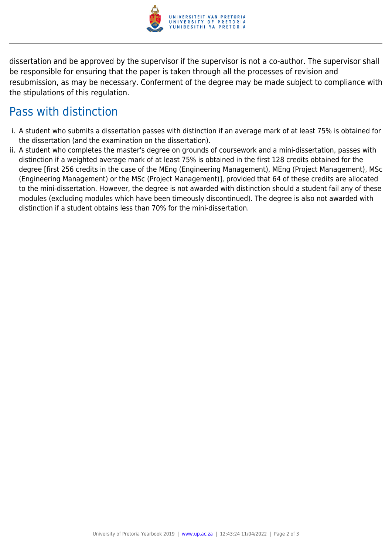

dissertation and be approved by the supervisor if the supervisor is not a co-author. The supervisor shall be responsible for ensuring that the paper is taken through all the processes of revision and resubmission, as may be necessary. Conferment of the degree may be made subject to compliance with the stipulations of this regulation.

### Pass with distinction

- i. A student who submits a dissertation passes with distinction if an average mark of at least 75% is obtained for the dissertation (and the examination on the dissertation).
- ii. A student who completes the master's degree on grounds of coursework and a mini-dissertation, passes with distinction if a weighted average mark of at least 75% is obtained in the first 128 credits obtained for the degree [first 256 credits in the case of the MEng (Engineering Management), MEng (Project Management), MSc (Engineering Management) or the MSc (Project Management)], provided that 64 of these credits are allocated to the mini-dissertation. However, the degree is not awarded with distinction should a student fail any of these modules (excluding modules which have been timeously discontinued). The degree is also not awarded with distinction if a student obtains less than 70% for the mini-dissertation.